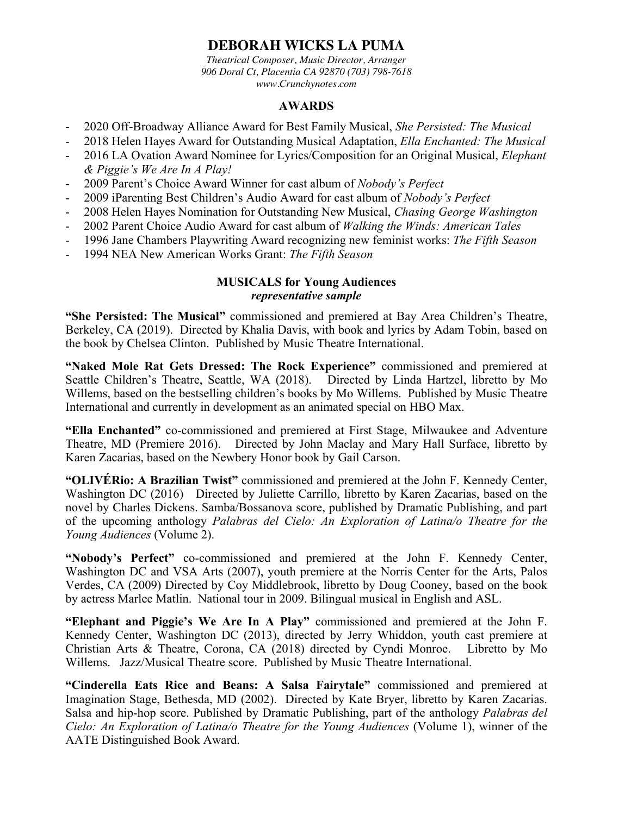# **DEBORAH WICKS LA PUMA**

*Theatrical Composer, Music Director, Arranger 906 Doral Ct, Placentia CA 92870 (703) 798-7618 www.Crunchynotes.com*

#### **AWARDS**

- 2020 Off-Broadway Alliance Award for Best Family Musical, *She Persisted: The Musical*
- 2018 Helen Hayes Award for Outstanding Musical Adaptation, *Ella Enchanted: The Musical*
- 2016 LA Ovation Award Nominee for Lyrics/Composition for an Original Musical, *Elephant & Piggie's We Are In A Play!*
- 2009 Parent's Choice Award Winner for cast album of *Nobody's Perfect*
- 2009 iParenting Best Children's Audio Award for cast album of *Nobody's Perfect*
- 2008 Helen Hayes Nomination for Outstanding New Musical, *Chasing George Washington*
- 2002 Parent Choice Audio Award for cast album of *Walking the Winds: American Tales*
- 1996 Jane Chambers Playwriting Award recognizing new feminist works: *The Fifth Season*
- 1994 NEA New American Works Grant: *The Fifth Season*

#### **MUSICALS for Young Audiences**  *representative sample*

**"She Persisted: The Musical"** commissioned and premiered at Bay Area Children's Theatre, Berkeley, CA (2019). Directed by Khalia Davis, with book and lyrics by Adam Tobin, based on the book by Chelsea Clinton. Published by Music Theatre International.

**"Naked Mole Rat Gets Dressed: The Rock Experience"** commissioned and premiered at Seattle Children's Theatre, Seattle, WA (2018). Directed by Linda Hartzel, libretto by Mo Willems, based on the bestselling children's books by Mo Willems. Published by Music Theatre International and currently in development as an animated special on HBO Max.

**"Ella Enchanted"** co-commissioned and premiered at First Stage, Milwaukee and Adventure Theatre, MD (Premiere 2016). Directed by John Maclay and Mary Hall Surface, libretto by Karen Zacarias, based on the Newbery Honor book by Gail Carson.

**"OLIVÉRio: A Brazilian Twist"** commissioned and premiered at the John F. Kennedy Center, Washington DC (2016) Directed by Juliette Carrillo, libretto by Karen Zacarias, based on the novel by Charles Dickens. Samba/Bossanova score, published by Dramatic Publishing, and part of the upcoming anthology *Palabras del Cielo: An Exploration of Latina/o Theatre for the Young Audiences* (Volume 2).

**"Nobody's Perfect"** co-commissioned and premiered at the John F. Kennedy Center, Washington DC and VSA Arts (2007), youth premiere at the Norris Center for the Arts, Palos Verdes, CA (2009) Directed by Coy Middlebrook, libretto by Doug Cooney, based on the book by actress Marlee Matlin. National tour in 2009. Bilingual musical in English and ASL.

**"Elephant and Piggie's We Are In A Play"** commissioned and premiered at the John F. Kennedy Center, Washington DC (2013), directed by Jerry Whiddon, youth cast premiere at Christian Arts & Theatre, Corona, CA (2018) directed by Cyndi Monroe. Libretto by Mo Willems. Jazz/Musical Theatre score. Published by Music Theatre International.

**"Cinderella Eats Rice and Beans: A Salsa Fairytale"** commissioned and premiered at Imagination Stage, Bethesda, MD (2002). Directed by Kate Bryer, libretto by Karen Zacarias. Salsa and hip-hop score. Published by Dramatic Publishing, part of the anthology *Palabras del Cielo: An Exploration of Latina/o Theatre for the Young Audiences* (Volume 1), winner of the AATE Distinguished Book Award.